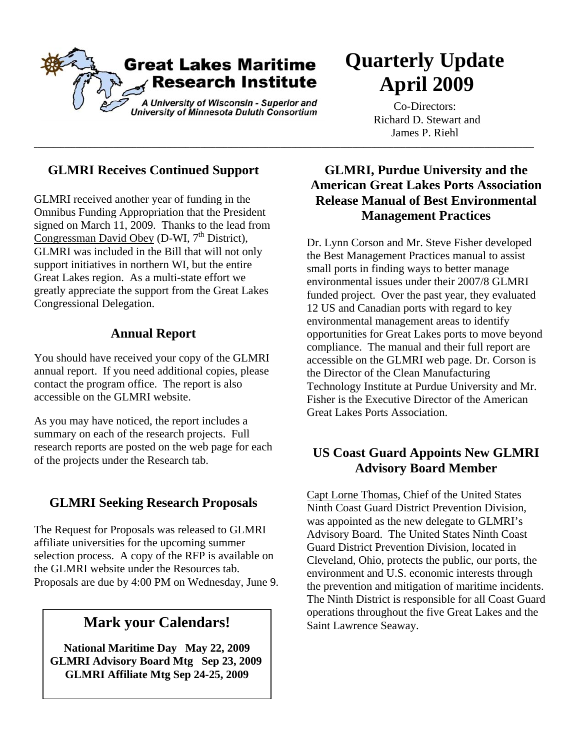

\_\_\_\_\_\_\_\_\_\_\_\_\_\_\_\_\_\_\_\_\_\_\_\_\_\_\_\_\_\_\_\_\_\_\_\_\_\_\_\_\_\_\_\_\_\_\_\_\_\_\_\_\_\_\_\_\_\_\_\_\_\_\_\_\_\_\_\_\_\_\_\_\_\_\_\_\_\_\_\_\_\_\_\_\_\_\_\_\_\_\_\_\_\_\_\_\_\_\_\_\_\_\_\_\_\_\_\_\_\_\_\_\_\_\_\_\_\_\_\_\_\_\_\_\_\_\_\_\_\_\_\_

# **Quarterly Update April 2009**

Co-Directors: Richard D. Stewart and James P. Riehl

### **GLMRI Receives Continued Support**

GLMRI received another year of funding in the Omnibus Funding Appropriation that the President signed on March 11, 2009. Thanks to the lead from Congressman David Obey (D-WI,  $7<sup>th</sup>$  District), GLMRI was included in the Bill that will not only support initiatives in northern WI, but the entire Great Lakes region. As a multi-state effort we greatly appreciate the support from the Great Lakes Congressional Delegation.

### **Annual Report**

You should have received your copy of the GLMRI annual report. If you need additional copies, please contact the program office. The report is also accessible on the GLMRI website.

As you may have noticed, the report includes a summary on each of the research projects. Full research reports are posted on the web page for each of the projects under the Research tab.

### **GLMRI Seeking Research Proposals**

The Request for Proposals was released to GLMRI affiliate universities for the upcoming summer selection process. A copy of the RFP is available on the GLMRI website under the Resources tab. Proposals are due by 4:00 PM on Wednesday, June 9.

**National Maritime Day May 22, 2009 GLMRI Advisory Board Mtg Sep 23, 2009 GLMRI Affiliate Mtg Sep 24-25, 2009** 

### **GLMRI, Purdue University and the American Great Lakes Ports Association Release Manual of Best Environmental Management Practices**

Dr. Lynn Corson and Mr. Steve Fisher developed the Best Management Practices manual to assist small ports in finding ways to better manage environmental issues under their 2007/8 GLMRI funded project. Over the past year, they evaluated 12 US and Canadian ports with regard to key environmental management areas to identify opportunities for Great Lakes ports to move beyond compliance. The manual and their full report are accessible on the GLMRI web page. Dr. Corson is the Director of the Clean Manufacturing Technology Institute at Purdue University and Mr. Fisher is the Executive Director of the American Great Lakes Ports Association.

### **US Coast Guard Appoints New GLMRI Advisory Board Member**

Capt Lorne Thomas, Chief of the United States Ninth Coast Guard District Prevention Division, was appointed as the new delegate to GLMRI's Advisory Board. The United States Ninth Coast Guard District Prevention Division, located in Cleveland, Ohio, protects the public, our ports, the environment and U.S. economic interests through the prevention and mitigation of maritime incidents. The Ninth District is responsible for all Coast Guard **Mark your Calendars!** The Saint Lawrence Seaway. **Mark your Calendars!** Saint Lawrence Seaway.